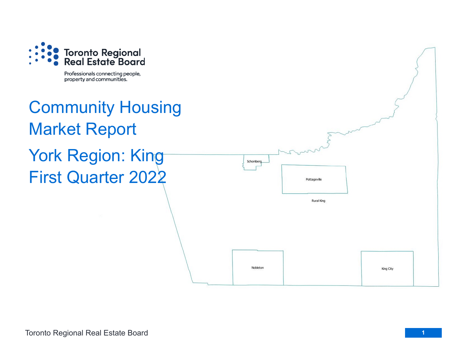

Professionals connecting people, property and communities.

## Community Housing Market Report York Region: King First Quarter 2022

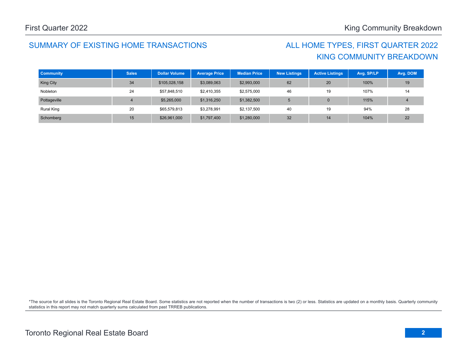## SUMMARY OF EXISTING HOME TRANSACTIONS ALL HOME TYPES, FIRST QUARTER 2022

## KING COMMUNITY BREAKDOWN

| <b>Community</b> | <b>Sales</b> | <b>Dollar Volume</b> | <b>Average Price</b> | <b>Median Price</b> | <b>New Listings</b> | <b>Active Listings</b> | Avg. SP/LP | Avg. DOM |
|------------------|--------------|----------------------|----------------------|---------------------|---------------------|------------------------|------------|----------|
| King City        | 34           | \$105,028,158        | \$3,089,063          | \$2,993,000         | 62                  | 20                     | 100%       | 19       |
| Nobleton         | 24           | \$57,848,510         | \$2,410,355          | \$2,575,000         | 46                  | 19                     | 107%       | 14       |
| Pottageville     |              | \$5,265,000          | \$1,316,250          | \$1,382,500         | 5                   |                        | 115%       |          |
| Rural King       | 20           | \$65,579,813         | \$3,278,991          | \$2,137,500         | 40                  | 19                     | 94%        | 28       |
| Schomberg        | 15           | \$26,961,000         | \$1,797,400          | \$1,280,000         | 32                  | 14                     | 104%       | 22       |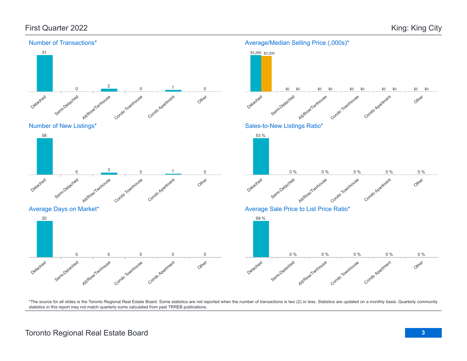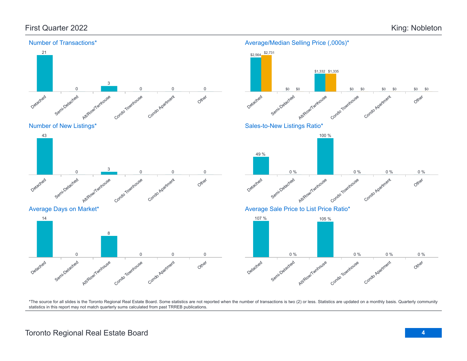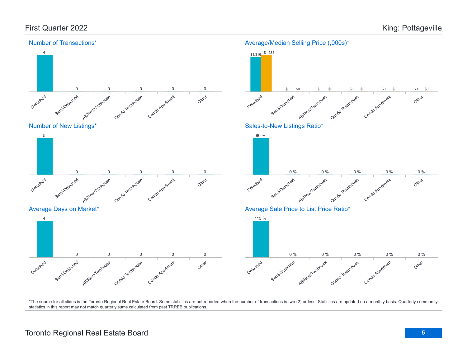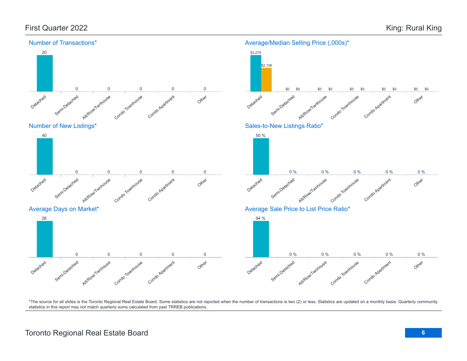